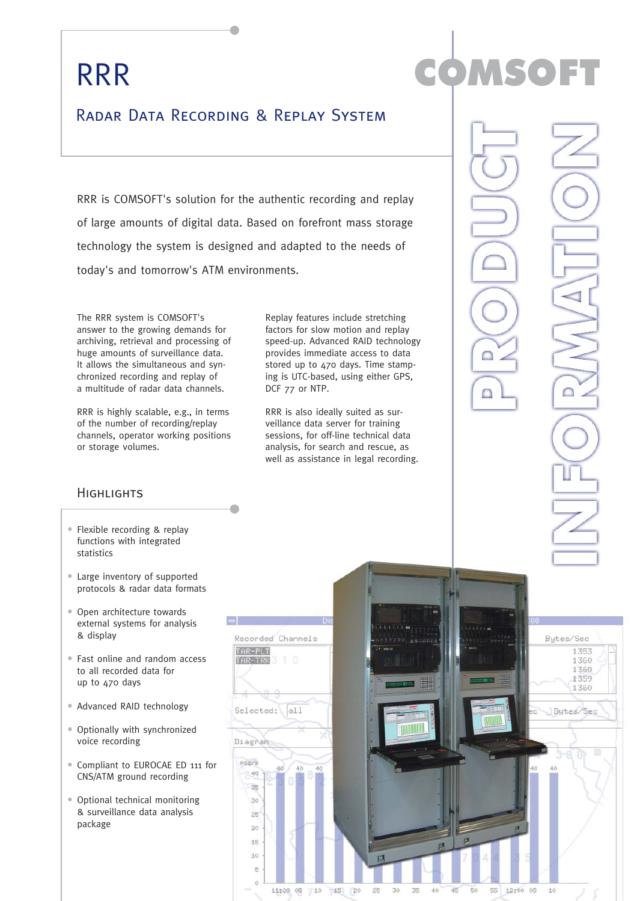## RRR

## Radar Data Recording & Replay System

RRR is COMSOFT's solution for the authentic recording and replay of large amounts of digital data. Based on forefront mass storage technology the system is designed and adapted to the needs of today's and tomorrow's ATM environments.

The RRR system is COMSOFT's answer to the growing demands for archiving, retrieval and processing of huge amounts of surveillance data. It allows the simultaneous and synchronized recording and replay of a multitude of radar data channels.

RRR is highly scalable, e.g., in terms of the number of recording/replay channels, operator working positions or storage volumes.

#### **HIGHLIGHTS**

- Flexible recording & replay functions with integrated statistics
- Large inventory of supported protocols & radar data formats
- Open architecture towards external systems for analysis & display
- Fast online and random access to all recorded data for up to 470 days
- Advanced RAID technology
- Optionally with synchronized voice recording
- Compliant to EUROCAE ED 111 for CNS/ATM ground recording
- Optional technical monitoring & surveillance data analysis package

Replay features include stretching factors for slow motion and replay speed-up. Advanced RAID technology provides immediate access to data stored up to 470 days. Time stamping is UTC-based, using either GPS, DCF 77 or NTP.

RRR is also ideally suited as surveillance data server for training sessions, for off-line technical data analysis, for search and rescue, as well as assistance in legal recording.



COMSOFT